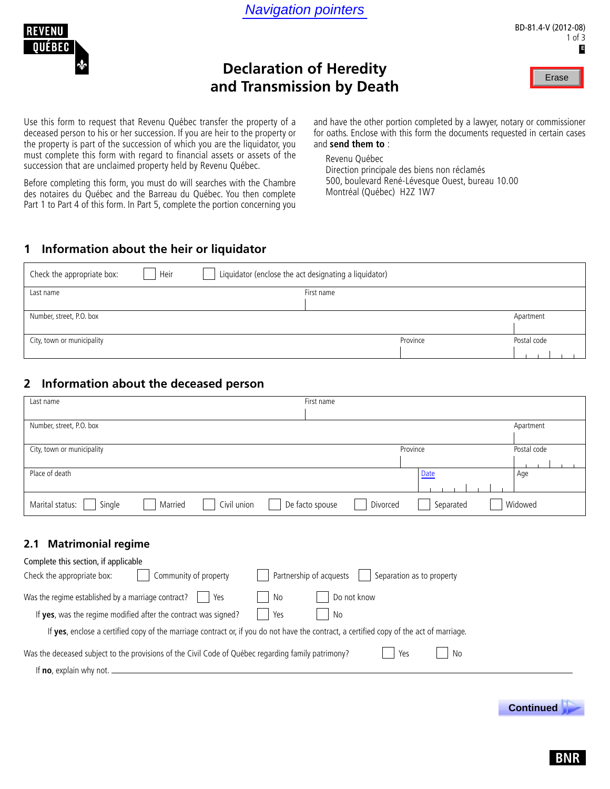



# **Declaration of Heredity and Transmission by Death**



Use this form to request that Revenu Québec transfer the property of a deceased person to his or her succession. If you are heir to the property or the property is part of the succession of which you are the liquidator, you must complete this form with regard to financial assets or assets of the succession that are unclaimed property held by Revenu Québec.

Before completing this form, you must do will searches with the Chambre des notaires du Québec and the Barreau du Québec. You then complete Part 1 to Part 4 of this form. In Part 5, complete the portion concerning you

and have the other portion completed by a lawyer, notary or commissioner for oaths. Enclose with this form the documents requested in certain cases and **send them to** :

Revenu Québec Direction principale des biens non réclamés 500, boulevard René-Lévesque Ouest, bureau 10.00 Montréal (Québec) H2Z 1W7

### **1 Information about the heir or liquidator**

| Check the appropriate box: | Heir | Liquidator (enclose the act designating a liquidator) |          |             |
|----------------------------|------|-------------------------------------------------------|----------|-------------|
| Last name                  |      | First name                                            |          |             |
|                            |      |                                                       |          |             |
| Number, street, P.O. box   |      |                                                       |          | Apartment   |
|                            |      |                                                       |          |             |
| City, town or municipality |      |                                                       | Province | Postal code |
|                            |      |                                                       |          |             |

### **2 Information about the deceased person**

| Last name                                                       | First name                                           |             |
|-----------------------------------------------------------------|------------------------------------------------------|-------------|
|                                                                 |                                                      |             |
| Number, street, P.O. box                                        |                                                      | Apartment   |
|                                                                 |                                                      |             |
| City, town or municipality                                      | Province                                             | Postal code |
|                                                                 |                                                      |             |
| Place of death                                                  | Date                                                 | Age         |
|                                                                 |                                                      |             |
| Civil union<br>Marital status:<br>Single<br>Married             | De facto spouse<br>Separated<br>Divorced             | Widowed     |
|                                                                 |                                                      |             |
| <b>Matrimonial regime</b><br>2.1                                |                                                      |             |
| Complete this section, if applicable                            |                                                      |             |
| Community of property<br>Check the appropriate box:             | Partnership of acquests<br>Separation as to property |             |
| Was the regime established by a marriage contract?<br>No<br>Yes | Do not know                                          |             |

If **yes**, enclose a certified copy of the marriage contract or, if you do not have the contract, a certified copy of the act of marriage.

If **yes**, was the regime modified after the contract was signed?  $\begin{array}{|c|c|c|c|c|c|c|c|c|} \hline \end{array}$  No

| Was the deceased subject to the provisions of the Civil Code of Québec regarding family patrimony? | $\Box$ Yes $\Box$ No |  |
|----------------------------------------------------------------------------------------------------|----------------------|--|
| If no, explain why not.                                                                            |                      |  |

 **Continued .**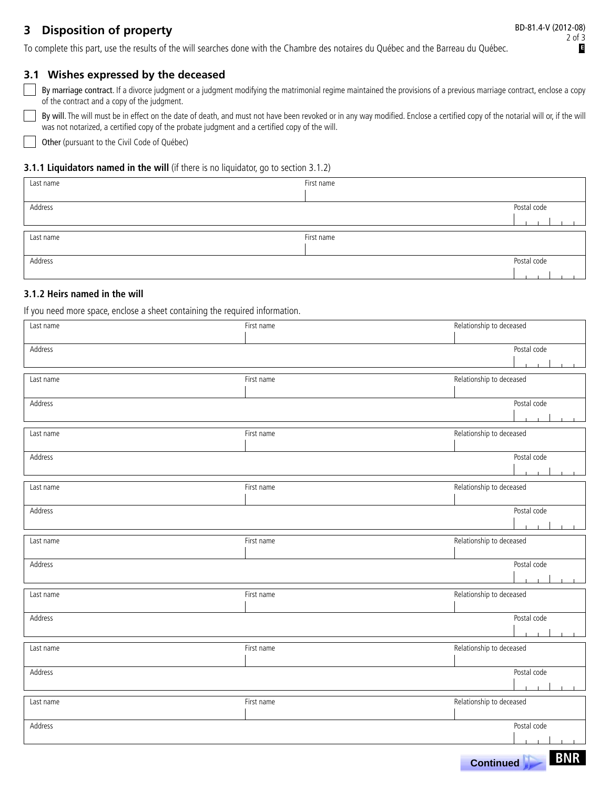## **2** Disposition of property

 **Continued .**

To complete this part, use the results of the will searches done with the Chambre des notaires du Québec and the Barreau du Québec.

### **3.1 Wishes expressed by the deceased**

By marriage contract. If a divorce judgment or a judgment modifying the matrimonial regime maintained the provisions of a previous marriage contract, enclose a copy of the contract and a copy of the judgment.

By will. The will must be in effect on the date of death, and must not have been revoked or in any way modified. Enclose a certified copy of the notarial will or, if the will was not notarized, a certified copy of the probate judgment and a certified copy of the will.

Other (pursuant to the Civil Code of Québec)

#### **3.1.1 Liquidators named in the will** (if there is no liquidator, go to section 3.1.2)

| Last name | First name |             |
|-----------|------------|-------------|
| Address   |            | Postal code |
| Last name | First name |             |
| Address   |            | Postal code |

### **3.1.2 Heirs named in the will**

If you need more space, enclose a sheet containing the required information.

| Last name | First name | Relationship to deceased |
|-----------|------------|--------------------------|
|           |            |                          |
| Address   |            | Postal code              |
|           |            |                          |
| Last name | First name | Relationship to deceased |
| Address   |            | Postal code              |
|           |            |                          |
|           |            |                          |
| Last name | First name | Relationship to deceased |
| Address   |            | Postal code              |
|           |            | $\mathbf{L}$             |
|           |            |                          |
| Last name | First name | Relationship to deceased |
| Address   |            | Postal code              |
|           |            |                          |
| Last name | First name | Relationship to deceased |
|           |            |                          |
| Address   |            | Postal code              |
|           |            |                          |
| Last name | First name | Relationship to deceased |
|           |            |                          |
| Address   |            | Postal code              |
|           |            |                          |
| Last name | First name | Relationship to deceased |
|           |            |                          |
| Address   |            | Postal code              |
|           |            |                          |
| Last name | First name | Relationship to deceased |
|           |            |                          |
| Address   |            | Postal code              |
|           |            |                          |
|           |            | <b>BNR</b><br>Continued  |